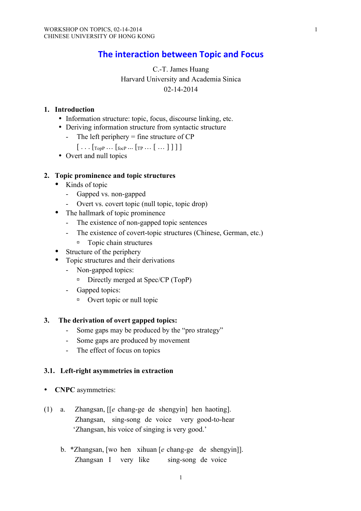# **The interaction between Topic and Focus**

# C.-T. James Huang Harvard University and Academia Sinica 02-14-2014

## **1. Introduction**

- Information structure: topic, focus, discourse linking, etc.
- Deriving information structure from syntactic structure
	- The left periphery  $=$  fine structure of  $CP$
	- $[\ldots [$   $T^{op} \ldots [$   $T^{op} \ldots [$   $T^{p} \ldots [$   $\ldots ]$   $]$   $]$
- Overt and null topics

### **2. Topic prominence and topic structures**

- Kinds of topic
	- Gapped vs. non-gapped
	- Overt vs. covert topic (null topic, topic drop)
- The hallmark of topic prominence
	- The existence of non-gapped topic sentences
	- The existence of covert-topic structures (Chinese, German, etc.)
	- <sup> $\Box$ </sup> Topic chain structures
- Structure of the periphery
- Topic structures and their derivations
	- Non-gapped topics:
		- □ Directly merged at Spec/CP (TopP)
	- Gapped topics:
		- <sup> $\Box$ </sup> Overt topic or null topic

### **3. The derivation of overt gapped topics:**

- Some gaps may be produced by the "pro strategy"
- Some gaps are produced by movement
- The effect of focus on topics

### **3.1. Left-right asymmetries in extraction**

- **CNPC** asymmetries:
- (1) a. Zhangsan, [[*e* chang-ge de shengyin] hen haoting]. Zhangsan, sing-song de voice very good-to-hear 'Zhangsan, his voice of singing is very good.'
	- b. \*Zhangsan, [wo hen xihuan [*e* chang-ge de shengyin]]. Zhangsan I very like sing-song de voice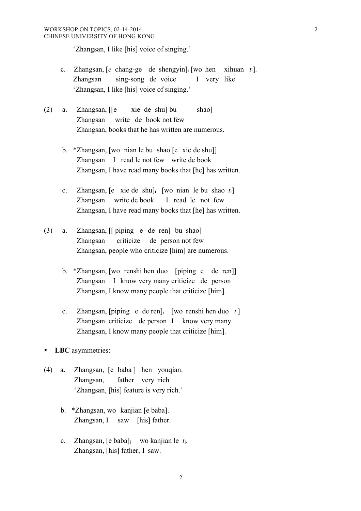'Zhangsan, I like [his] voice of singing.'

- c. Zhangsan, [*e* chang-ge de shengyin]i [wo hen xihuan *t*i]. Zhangsan sing-song de voice I very like 'Zhangsan, I like [his] voice of singing.'
- (2) a. Zhangsan, [[e xie de shu] bu shao] Zhangsan write de book not few Zhangsan, books that he has written are numerous.
	- b. \*Zhangsan, [wo nian le bu shao [e xie de shu]] Zhangsan I read le not few write de book Zhangsan, I have read many books that [he] has written.
	- c. Zhangsan, [e xie de shu]i [wo nian le bu shao *t*i] Zhangsan write de book I read le not few Zhangsan, I have read many books that [he] has written.
- (3) a. Zhangsan, [[ piping e de ren] bu shao] Zhangsan criticize de person not few Zhangsan, people who criticize [him] are numerous.
	- b. \*Zhangsan, [wo renshi hen duo [piping e de ren]] Zhangsan I know very many criticize de person Zhangsan, I know many people that criticize [him].
	- c. Zhangsan, [piping e de ren]i [wo renshi hen duo *t*i] Zhangsan criticize de person I know very many Zhangsan, I know many people that criticize [him].
- **LBC** asymmetries:
- (4) a. Zhangsan, [e baba ] hen youqian. Zhangsan, father very rich 'Zhangsan, [his] feature is very rich.'
	- b. \*Zhangsan, wo kanjian [e baba]. Zhangsan, I saw [his] father.
	- c. Zhangsan, [e baba]i wo kanjian le *t*i. Zhangsan, [his] father, I saw.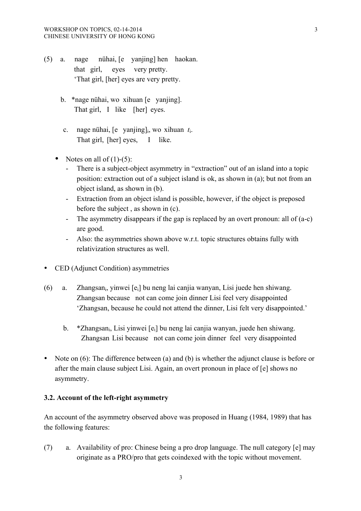- (5) a. nage nühai, [e yanjing] hen haokan. that girl, eyes very pretty. 'That girl, [her] eyes are very pretty.
	- b. \*nage nühai, wo xihuan [e yanjing]. That girl, I like [her] eyes.
	- c. nage nühai, [e yanjing]i, wo xihuan *t*i. That girl, [her] eyes, I like.
	- Notes on all of  $(1)-(5)$ :
		- There is a subject-object asymmetry in "extraction" out of an island into a topic position: extraction out of a subject island is ok, as shown in (a); but not from an object island, as shown in (b).
		- Extraction from an object island is possible, however, if the object is preposed before the subject , as shown in (c).
		- The asymmetry disappears if the gap is replaced by an overt pronoun: all of (a-c) are good.
		- Also: the asymmetries shown above w.r.t. topic structures obtains fully with relativization structures as well.
- CED (Adjunct Condition) asymmetries
- (6) a. Zhangsani, yinwei [ei] bu neng lai canjia wanyan, Lisi juede hen shiwang. Zhangsan because not can come join dinner Lisi feel very disappointed 'Zhangsan, because he could not attend the dinner, Lisi felt very disappointed.'
	- b. \*Zhangsani, Lisi yinwei [ei] bu neng lai canjia wanyan, juede hen shiwang. Zhangsan Lisi because not can come join dinner feel very disappointed
- Note on (6): The difference between (a) and (b) is whether the adjunct clause is before or after the main clause subject Lisi. Again, an overt pronoun in place of [e] shows no asymmetry.

### **3.2. Account of the left-right asymmetry**

An account of the asymmetry observed above was proposed in Huang (1984, 1989) that has the following features:

(7) a. Availability of pro: Chinese being a pro drop language. The null category [e] may originate as a PRO/pro that gets coindexed with the topic without movement.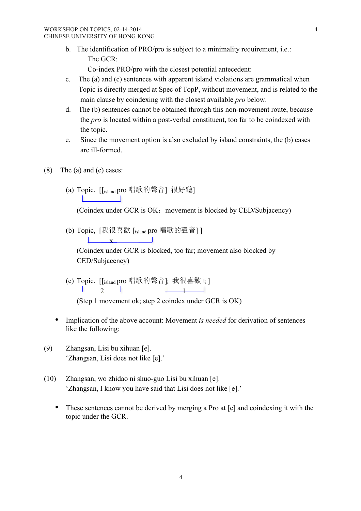b. The identification of PRO/pro is subject to a minimality requirement, i.e.: The GCR:

Co-index PRO/pro with the closest potential antecedent:

- c. The (a) and (c) sentences with apparent island violations are grammatical when Topic is directly merged at Spec of TopP, without movement, and is related to the main clause by coindexing with the closest available *pro* below.
- d. The (b) sentences cannot be obtained through this non-movement route, because the *pro* is located within a post-verbal constituent, too far to be coindexed with the topic.
- e. Since the movement option is also excluded by island constraints, the (b) cases are ill-formed.
- (8) The (a) and (c) cases:
	- (a) Topic, [[island pro 唱歌的聲音] 很好聽] **The Common**

(Coindex under GCR is  $OK:$  movement is blocked by CED/Subjacency)

(b) Topic, [我很喜歡 [island pro 唱歌的聲音] ]  $\mathbf x$   $\mathbf x$ 

(Coindex under GCR is blocked, too far; movement also blocked by CED/Subjacency)

(c) Topic, [[island pro 唱歌的聲音] 我很喜歡 ti ]  $\frac{1}{2}$  1

(Step 1 movement ok; step 2 coindex under GCR is OK)

- Implication of the above account: Movement *is needed* for derivation of sentences like the following:
- (9) Zhangsan, Lisi bu xihuan [e]. 'Zhangsan, Lisi does not like [e].'
- (10) Zhangsan, wo zhidao ni shuo-guo Lisi bu xihuan [e]. 'Zhangsan, I know you have said that Lisi does not like [e].'
	- These sentences cannot be derived by merging a Pro at [e] and coindexing it with the topic under the GCR.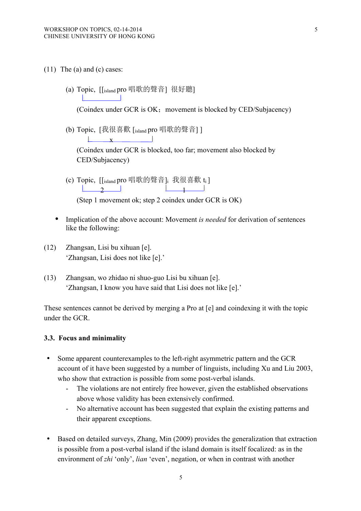**Contract Contract** 

- (11) The (a) and (c) cases:
	- (a) Topic, [[island pro 唱歌的聲音] 很好聽]

(Coindex under GCR is OK; movement is blocked by CED/Subjacency)

(b) Topic, [我很喜歡 [island pro 唱歌的聲音] ]

 $\mathbf{x}$ 

(Coindex under GCR is blocked, too far; movement also blocked by CED/Subjacency)

- (c) Topic, [[island pro 唱歌的聲音] 我很喜歡 ti ]  $\frac{1}{2}$  1 (Step 1 movement ok; step 2 coindex under GCR is OK)
- Implication of the above account: Movement *is needed* for derivation of sentences like the following:
- (12) Zhangsan, Lisi bu xihuan [e]. 'Zhangsan, Lisi does not like [e].'
- (13) Zhangsan, wo zhidao ni shuo-guo Lisi bu xihuan [e]. 'Zhangsan, I know you have said that Lisi does not like [e].'

These sentences cannot be derived by merging a Pro at [e] and coindexing it with the topic under the GCR.

### **3.3. Focus and minimality**

- Some apparent counterexamples to the left-right asymmetric pattern and the GCR account of it have been suggested by a number of linguists, including Xu and Liu 2003, who show that extraction is possible from some post-verbal islands.
	- The violations are not entirely free however, given the established observations above whose validity has been extensively confirmed.
	- No alternative account has been suggested that explain the existing patterns and their apparent exceptions.
- Based on detailed surveys, Zhang, Min (2009) provides the generalization that extraction is possible from a post-verbal island if the island domain is itself focalized: as in the environment of *zhi* 'only', *lian* 'even', negation, or when in contrast with another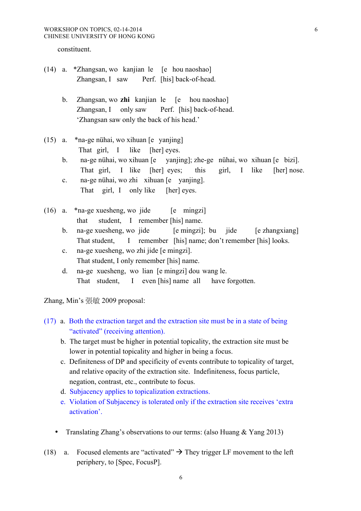constituent.

- (14) a. \*Zhangsan, wo kanjian le [e hou naoshao] Zhangsan, I saw Perf. [his] back-of-head.
	- b. Zhangsan, wo **zhi** kanjian le [e hou naoshao] Zhangsan, I only saw Perf. [his] back-of-head. 'Zhangsan saw only the back of his head.'
- (15) a. \*na-ge nühai, wo xihuan [e yanjing] That girl, I like [her] eyes.
	- b. na-ge nühai, wo xihuan [e yanjing]; zhe-ge nühai, wo xihuan [e bizi]. That girl, I like [her] eyes; this girl, I like [her] nose.
	- c. na-ge nühai, wo zhi xihuan [e yanjing]. That girl, I only like [her] eyes.
- (16) a.  $*$ na-ge xuesheng, wo jide [e mingzi] that student, I remember [his] name.
	- b. na-ge xuesheng, wo jide [e mingzi]; bu jide [e zhangxiang] That student, I remember [his] name; don't remember [his] looks.
	- c. na-ge xuesheng, wo zhi jide [e mingzi]. That student, I only remember [his] name.
	- d. na-ge xuesheng, wo lian [e mingzi] dou wang le. That student, I even [his] name all have forgotten.

Zhang, Min's 張敏 2009 proposal:

- (17) a. Both the extraction target and the extraction site must be in a state of being "activated" (receiving attention).
	- b. The target must be higher in potential topicality, the extraction site must be lower in potential topicality and higher in being a focus.
	- c. Definiteness of DP and specificity of events contribute to topicality of target, and relative opacity of the extraction site. Indefiniteness, focus particle, negation, contrast, etc., contribute to focus.
	- d. Subjacency applies to topicalization extractions.
	- e. Violation of Subjacency is tolerated only if the extraction site receives 'extra activation'.
	- Translating Zhang's observations to our terms: (also Huang & Yang 2013)
- (18) a. Focused elements are "activated"  $\rightarrow$  They trigger LF movement to the left periphery, to [Spec, FocusP].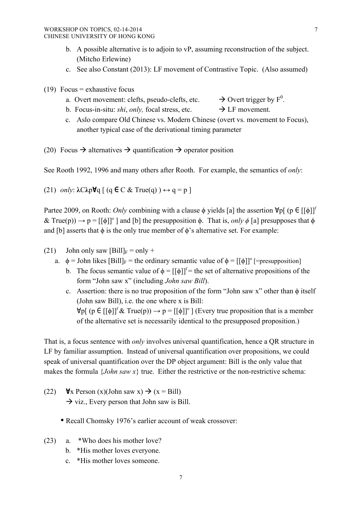- b. A possible alternative is to adjoin to  $vP$ , assuming reconstruction of the subject. (Mitcho Erlewine)
- c. See also Constant (2013): LF movement of Contrastive Topic. (Also assumed)
- (19) Focus = exhaustive focus
	- a. Overt movement: clefts, pseudo-clefts, etc.  $\rightarrow$  Overt trigger by F<sup>0</sup>.
	- b. Focus-in-situ: *shi*, *only*, focal stress, etc.  $\rightarrow$  LF movement.
	- c. Aslo compare Old Chinese vs. Modern Chinese (overt vs. movement to Focus), another typical case of the derivational timing parameter
- (20) Focus  $\rightarrow$  alternatives  $\rightarrow$  quantification  $\rightarrow$  operator position

See Rooth 1992, 1996 and many others after Rooth. For example, the semantics of *only*:

(21) *only*: **λ**C**λ**p**∀**q [ (q **∈** C & True(q) ) **↔** q = p ]

Partee 2009, on Rooth: *Only* combining with a clause  $\phi$  yields [a] the assertion  $\forall p$ [ (p  $\in$  [[ $\phi$ ]]<sup>f</sup>  $\&$  True(p))  $\rightarrow$  p = [[ $\phi$ ]]<sup>o</sup> ] and [b] the presupposition  $\phi$ . That is, *only*  $\phi$  [a] presupposes that  $\phi$ and [b] asserts that  $\phi$  is the only true member of  $\phi$ 's alternative set. For example:

- (21) John only saw  $[Bill]_F = only +$ 
	- a.  $\phi =$  John likes  $[Bill]_F$  = the ordinary semantic value of  $\phi = [[\phi]]^{\circ}$  [=presupposition]
		- b. The focus semantic value of  $\phi = [[\phi]]^f$  = the set of alternative propositions of the form "John saw x" (including *John saw Bill*).
		- c. Assertion: there is no true proposition of the form "John saw x" other than  $\phi$  itself (John saw Bill), i.e. the one where x is Bill:  $\forall p$ [ (p  $\in [[\phi]]^{\mathrm{f}} \& \mathrm{True}(p)$ )  $\rightarrow p = [[\phi]]^{\mathrm{o}}$  ] (Every true proposition that is a member of the alternative set is necessarily identical to the presupposed proposition.)

That is, a focus sentence with *only* involves universal quantification, hence a QR structure in LF by familiar assumption. Instead of universal quantification over propositions, we could speak of universal quantification over the DP object argument: Bill is the only value that makes the formula  $\{John saw x\}$  true. Either the restrictive or the non-restrictive schema:

- (22)  $\forall x$  Person (x)(John saw x)  $\rightarrow$  (x = Bill)  $\rightarrow$  viz., Every person that John saw is Bill.
	- Recall Chomsky 1976's earlier account of weak crossover:
- (23) a. \*Who does his mother love?
	- b. \*His mother loves everyone.
	- c. \*His mother loves someone.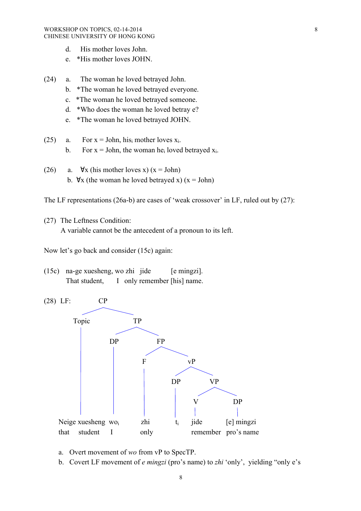- d. His mother loves John.
- e. \*His mother loves JOHN.
- (24) a. The woman he loved betrayed John.
	- b. \*The woman he loved betrayed everyone.
	- c. \*The woman he loved betrayed someone.
	- d. \*Who does the woman he loved betray e?
	- e. \*The woman he loved betrayed JOHN.
- (25) a. For  $x = John$ , his mother loves  $x_i$ .
	- b. For  $x =$  John, the woman he<sub>i</sub> loved betrayed  $x_i$ .
- (26) a.  $\forall$ x (his mother loves x) (x = John) b.  $\forall x$  (the woman he loved betrayed x) ( $x = John$ )

The LF representations (26a-b) are cases of 'weak crossover' in LF, ruled out by (27):

(27) The Leftness Condition: A variable cannot be the antecedent of a pronoun to its left.

Now let's go back and consider (15c) again:

(15c) na-ge xuesheng, wo zhi jide [e mingzi]. That student, I only remember [his] name.



- a. Overt movement of *wo* from vP to SpecTP.
- b. Covert LF movement of *e mingzi* (pro's name) to *zhi* 'only', yielding "only e's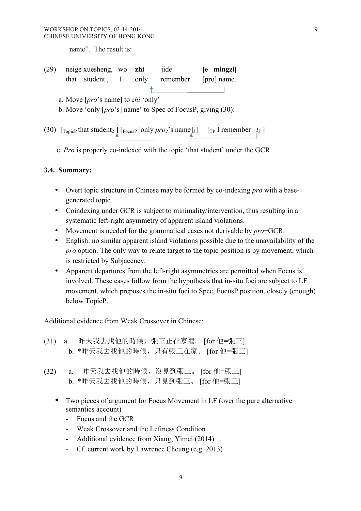name". The result is:

| (29)                                                 |  | neige xuesheng, wo zhi |  |  | <i>i</i> ide                                                  | [e mingzi]  |  |  |  |
|------------------------------------------------------|--|------------------------|--|--|---------------------------------------------------------------|-------------|--|--|--|
|                                                      |  | that student, I only   |  |  | remember                                                      | [pro] name. |  |  |  |
|                                                      |  |                        |  |  |                                                               |             |  |  |  |
| a. Move $[\textit{pro's name}]$ to <i>zhi</i> 'only' |  |                        |  |  |                                                               |             |  |  |  |
|                                                      |  |                        |  |  | b. Move 'only $[pro's]$ name' to Spec of FocusP, giving (30): |             |  |  |  |

(30)  $\lbrack \text{TopicP}$  that student<sub>2</sub>  $\lbrack \text{FocusP}$  [only *pro*<sub>2</sub>'s name]<sub>3</sub>]  $\lbrack \text{TP}$  I remember *t*<sub>3</sub> ]

c. *Pro* is properly co-indexed with the topic 'that student' under the GCR.

# **3.4. Summary:**

- Overt topic structure in Chinese may be formed by co-indexing *pro* with a basegenerated topic.
- Coindexing under GCR is subject to minimality/intervention, thus resulting in a systematic left-right asymmetry of apparent island violations.
- Movement is needed for the grammatical cases not derivable by *pro*+GCR.
- English: no similar apparent island violations possible due to the unavailability of the *pro* option. The only way to relate target to the topic position is by movement, which is restricted by Subjacency.
- Apparent departures from the left-right asymmetries are permitted when Focus is involved. These cases follow from the hypothesis that in-situ foci are subject to LF movement, which preposes the in-situ foci to Spec, FocusP position, closely (enough) below TopicP.

Additional evidence from Weak Crossover in Chinese:

|  | (31) a. 昨天我去找他的時候,張三正在家裡。 [for 他=張三] |  |
|--|--------------------------------------|--|
|  | b. *昨天我去找他的時候,只有張三在家。 [for 他=張三]     |  |

- (32) a. 昨天我去找他的時候,沒見到張三。 [for 他=張三] b. \*昨天我去找他的時候,只見到張三。 [for 他=張三]
	- Two pieces of argument for Focus Movement in LF (over the pure alternative semantics account)
		- Focus and the GCR
		- Weak Crossover and the Leftness Condition
		- Additional evidence from Xiang, Yimei (2014)
		- Cf. current work by Lawrence Cheung (e.g. 2013)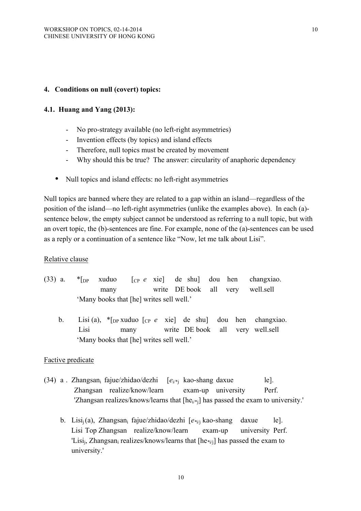## **4. Conditions on null (covert) topics:**

## **4.1. Huang and Yang (2013):**

- No pro-strategy available (no left-right asymmetries)
- Invention effects (by topics) and island effects
- Therefore, null topics must be created by movement
- Why should this be true? The answer: circularity of anaphoric dependency
- Null topics and island effects: no left-right asymmetries

Null topics are banned where they are related to a gap within an island—regardless of the position of the island—no left-right asymmetries (unlike the examples above). In each (a) sentence below, the empty subject cannot be understood as referring to a null topic, but with an overt topic, the (b)-sentences are fine. For example, none of the (a)-sentences can be used as a reply or a continuation of a sentence like "Now, let me talk about Lisi".

## Relative clause

- (33) a. \*[DP xuduo [CP *e* xie] de shu] dou hen changxiao. many write DE book all very well.sell 'Many books that [he] writes sell well.'
	- b. Lisi (a), \*[DP xuduo [CP *e* xie] de shu] dou hen changxiao. Lisi many write DE book all very well.sell 'Many books that [he] writes sell well.'

## Factive predicate

- (34) a . Zhangsan<sub>i</sub> fajue/zhidao/dezhi  $[e_{i}/*]$  kao-shang daxue le]. Zhangsan realize/know/learn exam-up university Perf. 'Zhangsan realizes/knows/learns that  $[he_{i*}]$  has passed the exam to university.'
	- b. Lisi<sub>i</sub>(a), Zhangsan<sub>i</sub> fajue/zhidao/dezhi [ $e_{*i}$  kao-shang daxue le]. Lisi Top Zhangsan realize/know/learn exam-up university Perf. 'Lisi<sub>i</sub>, Zhangsan<sub>i</sub> realizes/knows/learns that [he<sub>\*i/i</sub>] has passed the exam to university.'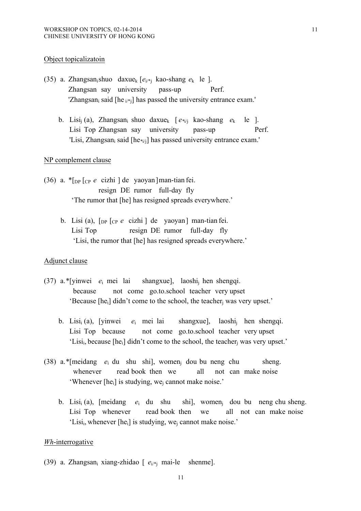#### Object topicalizatoin

- (35) a. Zhangsan<sub>i</sub>shuo daxue<sub>k</sub>  $[e_{i/*,i}]$  kao-shang  $e_k$  le ]. Zhangsan say university pass-up Perf. 'Zhangsan<sub>i</sub> said [he  $_{i\neq i}$ ] has passed the university entrance exam.'
	- b. Lisi<sub>i</sub> (a), Zhangsan<sub>i</sub> shuo daxue<sub>k</sub>  $[e^{i\phi}$  kao-shang  $e_k$  le ]. Lisi Top Zhangsan say university pass-up Perf. 'Lisi, Zhangsan<sub>i</sub> said [he<sub>\*i/i</sub>] has passed university entrance exam.'

#### NP complement clause

- (36) a. \*[DP [CP *e* cizhi ] de yaoyan]man-tian fei. resign DE rumor full-day fly 'The rumor that [he] has resigned spreads everywhere.'
	- b. Lisi (a), [DP [CP *e* cizhi ] de yaoyan] man-tian fei. Lisi Top resign DE rumor full-day fly 'Lisi, the rumor that [he] has resigned spreads everywhere.'

#### Adjunct clause

- (37) a.\*[yinwei *e*<sup>i</sup> mei lai shangxue], laoshij hen shengqi. because not come go.to.school teacher very upset 'Because [he<sub>i</sub>] didn't come to the school, the teacher<sub>i</sub> was very upset.'
	- b. Lisii (a), [yinwei *e*<sup>i</sup> mei lai shangxue], laoshij hen shengqi. Lisi Top because not come go.to.school teacher very upset 'Lisi<sub>i</sub>, because  $[he_i]$  didn't come to the school, the teacher<sub>i</sub> was very upset.'
- (38) a.\*[meidang *e*<sup>i</sup> du shu shi], womenj dou bu neng chu sheng. whenever read book then we all not can make noise 'Whenever [hei] is studying, wej cannot make noise.'
	- b. Lisii (a), [meidang *e*<sup>i</sup> du shu shi], womenj dou bu neng chu sheng. Lisi Top whenever read book then we all not can make noise 'Lisii, whenever [hei] is studying, wej cannot make noise.'

### *Wh*-interrogative

(39) a. Zhangsan<sub>i</sub> xiang-zhidao  $[$   $e_{i,*}$  mai-le shenme].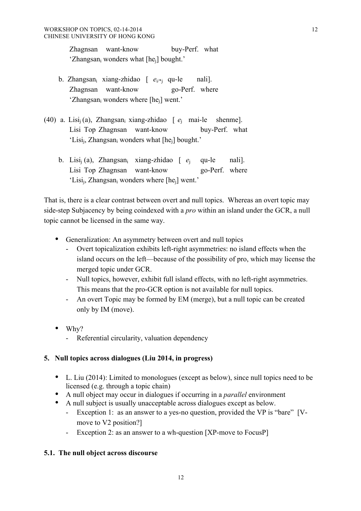Zhagnsan want-know buy-Perf. what 'Zhangsani wonders what [hej] bought.'

- b. Zhangsan<sub>i</sub> xiang-zhidao  $[$   $e_{i/k}$  qu-le nali]. Zhagnsan want-know go-Perf. where 'Zhangsan<sub>i</sub> wonders where [he<sub>i</sub>] went.'
- (40) a. Lisij (a), Zhangsani xiang-zhidao [ *e*<sup>j</sup> mai-le shenme]. Lisi Top Zhagnsan want-know buy-Perf. what 'Lisi<sub>i</sub>, Zhangsan<sub>i</sub> wonders what [he<sub>i</sub>] bought.'
	- b. Lisi<sub>i</sub> (a), Zhangsan<sub>i</sub> xiang-zhidao [  $e_i$  qu-le nali]. Lisi Top Zhagnsan want-know go-Perf. where 'Lisi<sub>i</sub>, Zhangsan<sub>i</sub> wonders where [he<sub>i</sub>] went.'

That is, there is a clear contrast between overt and null topics. Whereas an overt topic may side-step Subjacency by being coindexed with a *pro* within an island under the GCR, a null topic cannot be licensed in the same way.

- Generalization: An asymmetry between overt and null topics
	- Overt topicalization exhibits left-right asymmetries: no island effects when the island occurs on the left—because of the possibility of pro, which may license the merged topic under GCR.
	- Null topics, however, exhibit full island effects, with no left-right asymmetries. This means that the pro-GCR option is not available for null topics.
	- An overt Topic may be formed by EM (merge), but a null topic can be created only by IM (move).
- Why?
	- Referential circularity, valuation dependency

# **5. Null topics across dialogues (Liu 2014, in progress)**

- L. Liu (2014): Limited to monologues (except as below), since null topics need to be licensed (e.g. through a topic chain)
- A null object may occur in dialogues if occurring in a *parallel* environment
- A null subject is usually unacceptable across dialogues except as below.
	- Exception 1: as an answer to a yes-no question, provided the VP is "bare" [Vmove to V2 position?]

12

Exception 2: as an answer to a wh-question [XP-move to FocusP]

# **5.1. The null object across discourse**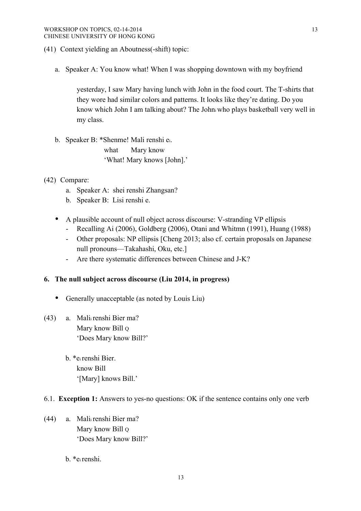#### WORKSHOP ON TOPICS, 02-14-2014 CHINESE UNIVERSITY OF HONG KONG

- (41) Context yielding an Aboutness(-shift) topic:
	- a. Speaker A: You know what! When I was shopping downtown with my boyfriend

yesterday, I saw Mary having lunch with John in the food court. The T-shirts that they wore had similar colors and patterns. It looks like they're dating. Do you know which John I am talking about? The Johni who plays basketball very well in my class.

- b. Speaker B: \*Shenme! Mali renshi ei. what Mary know 'What! Mary knows [John].'
- (42) Compare:
	- a. Speaker A: shei renshi Zhangsan?
	- b. Speaker B: Lisi renshi e.
	- A plausible account of null object across discourse: V-stranding VP ellipsis
		- Recalling Ai (2006), Goldberg (2006), Otani and Whitmn (1991), Huang (1988)
		- Other proposals: NP ellipsis [Cheng 2013; also cf. certain proposals on Japanese null pronouns—Takahashi, Oku, etc.]
		- Are there systematic differences between Chinese and J-K?

### **6. The null subject across discourse (Liu 2014, in progress)**

- Generally unacceptable (as noted by Louis Liu)
- (43) a. Malii renshi Bier ma? Mary know Bill Q 'Does Mary know Bill?'
	- b. \*ei renshi Bier. know Bill '[Mary] knows Bill.'

#### 6.1. **Exception 1:** Answers to yes-no questions: OK if the sentence contains only one verb

(44) a. Malii renshi Bier ma? Mary know Bill o 'Does Mary know Bill?'

## b. \*ei renshi.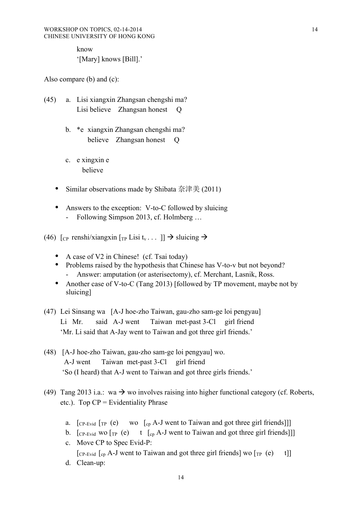know '[Mary] knows [Bill].'

Also compare (b) and (c):

- (45) a. Lisi xiangxin Zhangsan chengshi ma? Lisi believe Zhangsan honest O
	- b. \*e xiangxin Zhangsan chengshi ma? believe Zhangsan honest O
	- c. e xingxin e believe
	- Similar observations made by Shibata 奈津美 (2011)
	- Answers to the exception: V-to-C followed by sluicing
		- Following Simpson 2013, cf. Holmberg ...
- (46)  $\lceil c \rceil$  renshi/xiangxin  $\lceil r \rceil$  Lisi  $t_v \ldots \rceil$   $\Rightarrow$  sluicing  $\Rightarrow$ 
	- A case of V2 in Chinese! (cf. Tsai today)
	- Problems raised by the hypothesis that Chinese has V-to-v but not beyond? Answer: amputation (or asterisectomy), cf. Merchant, Lasnik, Ross.
	- Another case of V-to-C (Tang 2013) [followed by TP movement, maybe not by sluicing]
- (47) Lei Sinsang wa [A-J hoe-zho Taiwan, gau-zho sam-ge loi pengyau] Li Mr. said A-J went Taiwan met-past 3-Cl girl friend 'Mr. Li said that A-Jay went to Taiwan and got three girl friends.'
- (48) [A-J hoe-zho Taiwan, gau-zho sam-ge loi pengyau] wo. A-J went Taiwan met-past 3-Cl girl friend 'So (I heard) that A-J went to Taiwan and got three girls friends.'
- (49) Tang 2013 i.a.: wa  $\rightarrow$  wo involves raising into higher functional category (cf. Roberts, etc.). Top  $CP =$  Evidentiality Phrase
	- a.  $\lceil_{\text{CP-Evid}} \rceil_{\text{TP}}$  (e) wo  $\lceil_{\text{cp}} A-J \rceil_{\text{ event}}$  to Taiwan and got three girl friends]]
	- b.  $\lceil$  CP-Evid WO  $\lceil$  TP (e) t  $\lceil$  C<sub>P</sub> A-J went to Taiwan and got three girl friends  $\lceil$
	- c. Move CP to Spec Evid-P: [CP-Evid  $\begin{bmatrix} c_p \end{bmatrix}$  Cep A-J went to Taiwan and got three girl friends] wo  $\begin{bmatrix} T_P & (e) \\ t \end{bmatrix}$ d. Clean-up: